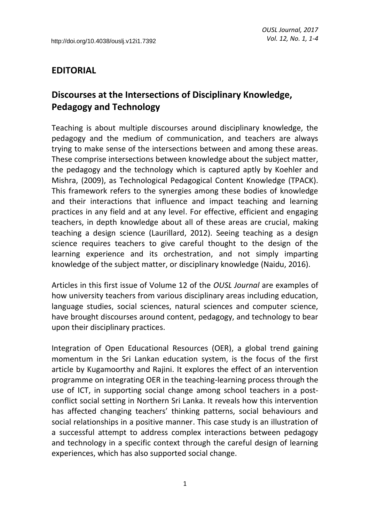## **EDITORIAL**

## **Discourses at the Intersections of Disciplinary Knowledge, Pedagogy and Technology**

Teaching is about multiple discourses around disciplinary knowledge, the pedagogy and the medium of communication, and teachers are always trying to make sense of the intersections between and among these areas. These comprise intersections between knowledge about the subject matter, the pedagogy and the technology which is captured aptly by Koehler and Mishra, (2009), as Technological Pedagogical Content Knowledge (TPACK). This framework refers to the synergies among these bodies of knowledge and their interactions that influence and impact teaching and learning practices in any field and at any level. For effective, efficient and engaging teachers, in depth knowledge about all of these areas are crucial, making teaching a design science (Laurillard, 2012). Seeing teaching as a design science requires teachers to give careful thought to the design of the learning experience and its orchestration, and not simply imparting knowledge of the subject matter, or disciplinary knowledge (Naidu, 2016).

Articles in this first issue of Volume 12 of the *OUSL Journal* are examples of how university teachers from various disciplinary areas including education, language studies, social sciences, natural sciences and computer science, have brought discourses around content, pedagogy, and technology to bear upon their disciplinary practices.

Integration of Open Educational Resources (OER), a global trend gaining momentum in the Sri Lankan education system, is the focus of the first article by Kugamoorthy and Rajini. It explores the effect of an intervention programme on integrating OER in the teaching-learning process through the use of ICT, in supporting social change among school teachers in a postconflict social setting in Northern Sri Lanka. It reveals how this intervention has affected changing teachers' thinking patterns, social behaviours and social relationships in a positive manner. This case study is an illustration of a successful attempt to address complex interactions between pedagogy and technology in a specific context through the careful design of learning experiences, which has also supported social change.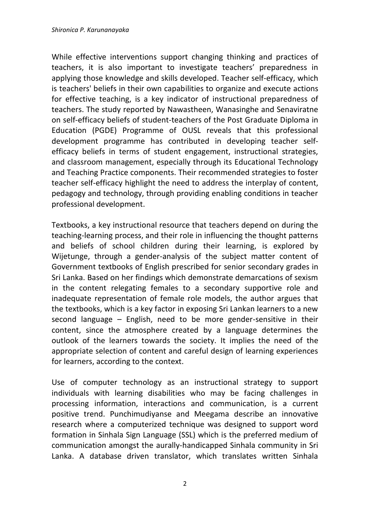While effective interventions support changing thinking and practices of teachers, it is also important to investigate teachers' preparedness in applying those knowledge and skills developed. Teacher self-efficacy, which is teachers' beliefs in their own capabilities to organize and execute actions for effective teaching, is a key indicator of instructional preparedness of teachers. The study reported by Nawastheen, Wanasinghe and Senaviratne on self-efficacy beliefs of student-teachers of the Post Graduate Diploma in Education (PGDE) Programme of OUSL reveals that this professional development programme has contributed in developing teacher selfefficacy beliefs in terms of student engagement, instructional strategies, and classroom management, especially through its Educational Technology and Teaching Practice components. Their recommended strategies to foster teacher self-efficacy highlight the need to address the interplay of content, pedagogy and technology, through providing enabling conditions in teacher professional development.

Textbooks, a key instructional resource that teachers depend on during the teaching-learning process, and their role in influencing the thought patterns and beliefs of school children during their learning, is explored by Wijetunge, through a gender-analysis of the subject matter content of Government textbooks of English prescribed for senior secondary grades in Sri Lanka. Based on her findings which demonstrate demarcations of sexism in the content relegating females to a secondary supportive role and inadequate representation of female role models, the author argues that the textbooks, which is a key factor in exposing Sri Lankan learners to a new second language – English, need to be more gender-sensitive in their content, since the atmosphere created by a language determines the outlook of the learners towards the society. It implies the need of the appropriate selection of content and careful design of learning experiences for learners, according to the context.

Use of computer technology as an instructional strategy to support individuals with learning disabilities who may be facing challenges in processing information, interactions and communication, is a current positive trend. Punchimudiyanse and Meegama describe an innovative research where a computerized technique was designed to support word formation in Sinhala Sign Language (SSL) which is the preferred medium of communication amongst the aurally-handicapped Sinhala community in Sri Lanka. A database driven translator, which translates written Sinhala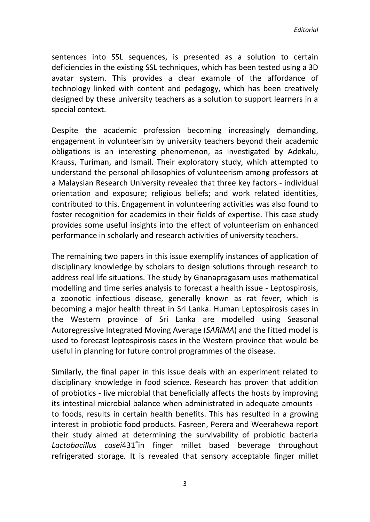sentences into SSL sequences, is presented as a solution to certain deficiencies in the existing SSL techniques, which has been tested using a 3D avatar system. This provides a clear example of the affordance of technology linked with content and pedagogy, which has been creatively designed by these university teachers as a solution to support learners in a special context.

Despite the academic profession becoming increasingly demanding, engagement in volunteerism by university teachers beyond their academic obligations is an interesting phenomenon, as investigated by Adekalu, Krauss, Turiman, and Ismail. Their exploratory study, which attempted to understand the personal philosophies of volunteerism among professors at a Malaysian Research University revealed that three key factors - individual orientation and exposure; religious beliefs; and work related identities, contributed to this. Engagement in volunteering activities was also found to foster recognition for academics in their fields of expertise. This case study provides some useful insights into the effect of volunteerism on enhanced performance in scholarly and research activities of university teachers.

The remaining two papers in this issue exemplify instances of application of disciplinary knowledge by scholars to design solutions through research to address real life situations. The study by Gnanapragasam uses mathematical modelling and time series analysis to forecast a health issue - Leptospirosis, a zoonotic infectious disease, generally known as rat fever, which is becoming a major health threat in Sri Lanka. Human Leptospirosis cases in the Western province of Sri Lanka are modelled using Seasonal Autoregressive Integrated Moving Average (*SARIMA*) and the fitted model is used to forecast leptospirosis cases in the Western province that would be useful in planning for future control programmes of the disease.

Similarly, the final paper in this issue deals with an experiment related to disciplinary knowledge in food science. Research has proven that addition of probiotics - live microbial that beneficially affects the hosts by improving its intestinal microbial balance when administrated in adequate amounts to foods, results in certain health benefits. This has resulted in a growing interest in probiotic food products. Fasreen, Perera and Weerahewa report their study aimed at determining the survivability of probiotic bacteria *Lactobacillus casei*431® in finger millet based beverage throughout refrigerated storage*.* It is revealed that sensory acceptable finger millet